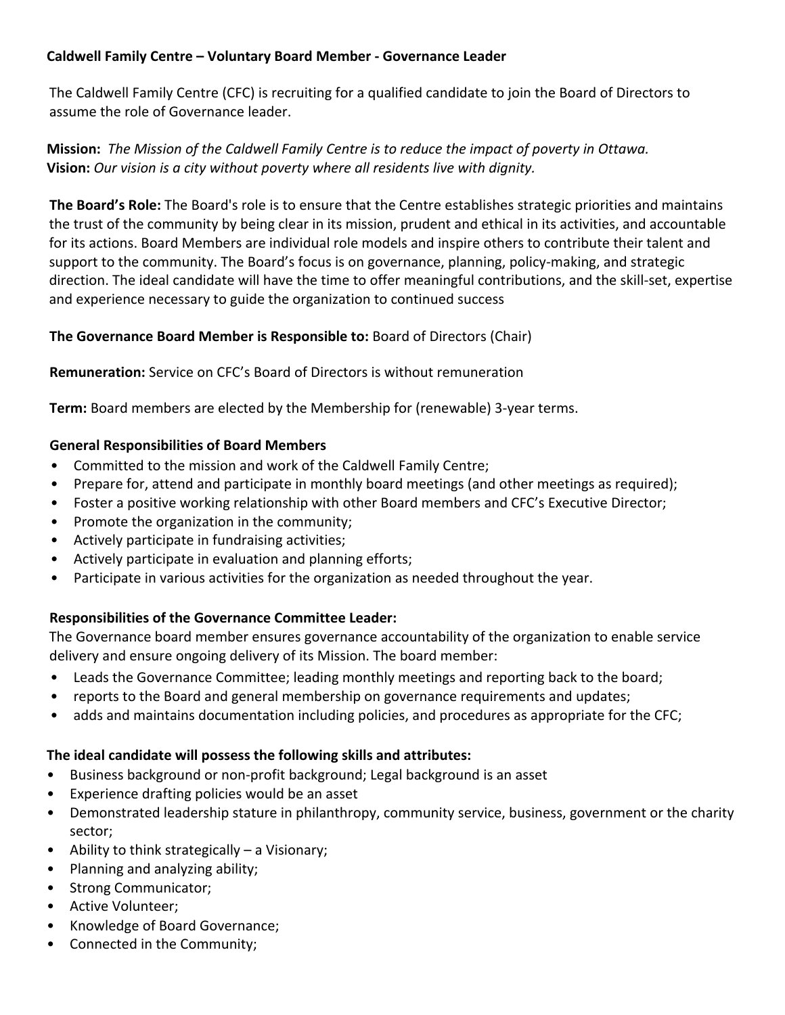# **Caldwell Family Centre – Voluntary Board Member - Governance Leader**

The Caldwell Family Centre (CFC) is recruiting for a qualified candidate to join the Board of Directors to assume the role of Governance leader.

# **Mission:** *The Mission of the Caldwell Family Centre is to reduce the impact of poverty in Ottawa.* **Vision:** *Our vision is a city without poverty where all residents live with dignity.*

**The Board's Role:** The Board's role is to ensure that the Centre establishes strategic priorities and maintains the trust of the community by being clear in its mission, prudent and ethical in its activities, and accountable for its actions. Board Members are individual role models and inspire others to contribute their talent and support to the community. The Board's focus is on governance, planning, policy-making, and strategic direction. The ideal candidate will have the time to offer meaningful contributions, and the skill-set, expertise and experience necessary to guide the organization to continued success

# **The Governance Board Member is Responsible to:** Board of Directors (Chair)

**Remuneration:** Service on CFC's Board of Directors is without remuneration

**Term:** Board members are elected by the Membership for (renewable) 3-year terms.

### **General Responsibilities of Board Members**

- Committed to the mission and work of the Caldwell Family Centre;
- Prepare for, attend and participate in monthly board meetings (and other meetings as required);
- Foster a positive working relationship with other Board members and CFC's Executive Director;
- Promote the organization in the community;
- Actively participate in fundraising activities;
- Actively participate in evaluation and planning efforts;
- Participate in various activities for the organization as needed throughout the year.

# **Responsibilities of the Governance Committee Leader:**

The Governance board member ensures governance accountability of the organization to enable service delivery and ensure ongoing delivery of its Mission. The board member:

- Leads the Governance Committee; leading monthly meetings and reporting back to the board;
- reports to the Board and general membership on governance requirements and updates;
- adds and maintains documentation including policies, and procedures as appropriate for the CFC;

# **The ideal candidate will possess the following skills and attributes:**

- Business background or non-profit background; Legal background is an asset
- Experience drafting policies would be an asset
- Demonstrated leadership stature in philanthropy, community service, business, government or the charity sector;
- Ability to think strategically a Visionary;
- Planning and analyzing ability;
- Strong Communicator;
- Active Volunteer;
- Knowledge of Board Governance;
- Connected in the Community;